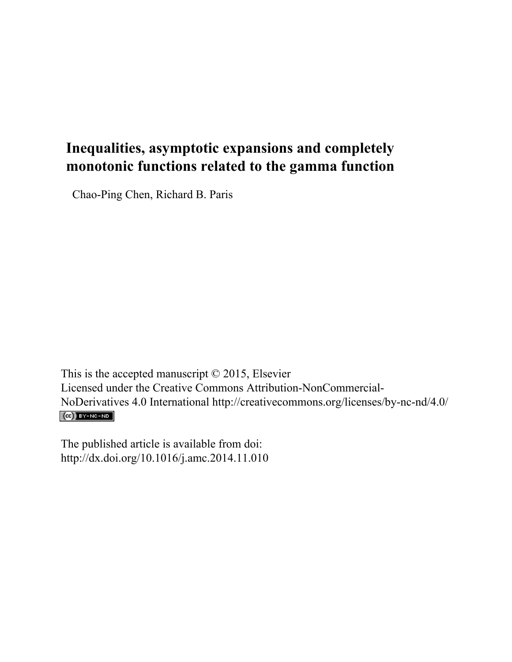# **Inequalities, asymptotic expansions and completely monotonic functions related to the gamma function**

Chao-Ping Chen, Richard B. Paris

This is the accepted manuscript © 2015, Elsevier Licensed under the Creative Commons Attribution-NonCommercial-NoDerivatives 4.0 International http://creativecommons.org/licenses/by-nc-nd/4.0/  $(Cc)$  BY-NC-ND

The published article is available from doi: http://dx.doi.org/10.1016/j.amc.2014.11.010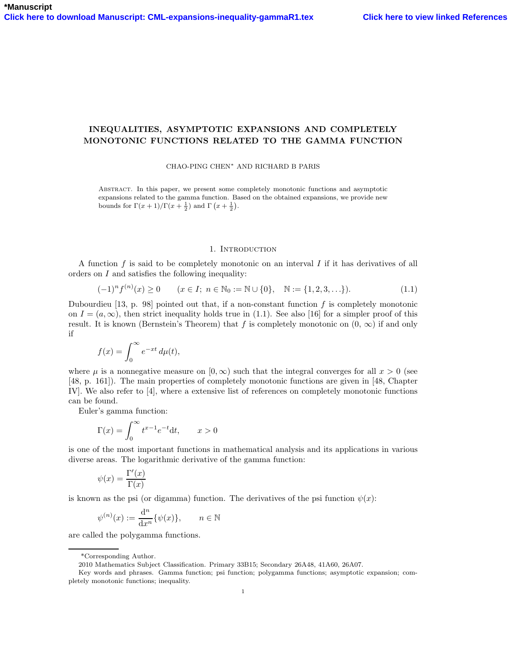# INEQUALITIES, ASYMPTOTIC EXPANSIONS AND COMPLETELY MONOTONIC FUNCTIONS RELATED TO THE GAMMA FUNCTION

CHAO-PING CHEN<sup>∗</sup> AND RICHARD B PARIS

Abstract. In this paper, we present some completely monotonic functions and asymptotic expansions related to the gamma function. Based on the obtained expansions, we provide new bounds for  $\Gamma(x+1)/\Gamma(x+\frac{1}{2})$  and  $\Gamma(x+\frac{1}{2})$ .

### 1. INTRODUCTION

A function  $f$  is said to be completely monotonic on an interval  $I$  if it has derivatives of all orders on I and satisfies the following inequality:

$$
(-1)^n f^{(n)}(x) \ge 0 \qquad (x \in I; \ n \in \mathbb{N}_0 := \mathbb{N} \cup \{0\}, \quad \mathbb{N} := \{1, 2, 3, \ldots\}).
$$
\n
$$
(1.1)
$$

Dubourdieu [13, p. 98] pointed out that, if a non-constant function  $f$  is completely monotonic on  $I = (a, \infty)$ , then strict inequality holds true in (1.1). See also [16] for a simpler proof of this result. It is known (Bernstein's Theorem) that f is completely monotonic on  $(0, \infty)$  if and only if

$$
f(x) = \int_0^\infty e^{-xt} \, d\mu(t),
$$

where  $\mu$  is a nonnegative measure on  $[0, \infty)$  such that the integral converges for all  $x > 0$  (see [48, p. 161]). The main properties of completely monotonic functions are given in [48, Chapter IV]. We also refer to [4], where a extensive list of references on completely monotonic functions can be found.

Euler's gamma function:

$$
\Gamma(x) = \int_0^\infty t^{x-1} e^{-t} \mathrm{d}t, \qquad x > 0
$$

is one of the most important functions in mathematical analysis and its applications in various diverse areas. The logarithmic derivative of the gamma function:

$$
\psi(x) = \frac{\Gamma'(x)}{\Gamma(x)}
$$

is known as the psi (or digamma) function. The derivatives of the psi function  $\psi(x)$ :

$$
\psi^{(n)}(x) := \frac{\mathrm{d}^n}{\mathrm{d}x^n} \{ \psi(x) \}, \qquad n \in \mathbb{N}
$$

are called the polygamma functions.

<sup>\*</sup>Corresponding Author.

<sup>2010</sup> Mathematics Subject Classification. Primary 33B15; Secondary 26A48, 41A60, 26A07.

Key words and phrases. Gamma function; psi function; polygamma functions; asymptotic expansion; completely monotonic functions; inequality.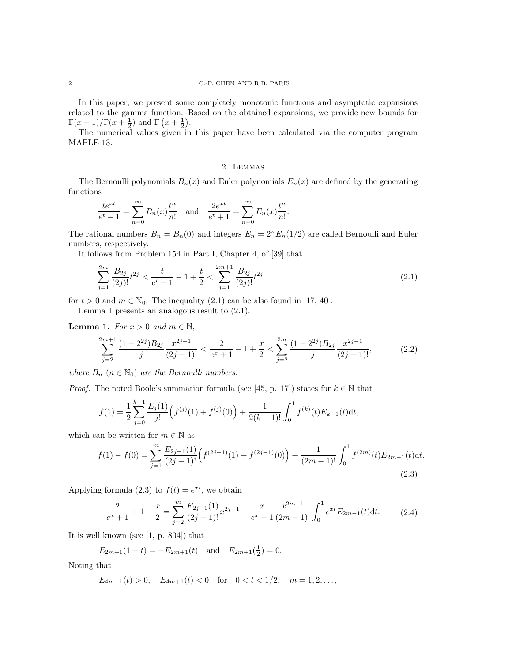In this paper, we present some completely monotonic functions and asymptotic expansions related to the gamma function. Based on the obtained expansions, we provide new bounds for  $\Gamma(x+1)/\Gamma(x+\frac{1}{2})$  and  $\Gamma(x+\frac{1}{2})$ .

The numerical values given in this paper have been calculated via the computer program MAPLE 13.

# 2. Lemmas

The Bernoulli polynomials  $B_n(x)$  and Euler polynomials  $E_n(x)$  are defined by the generating functions

$$
\frac{te^{xt}}{e^t - 1} = \sum_{n=0}^{\infty} B_n(x) \frac{t^n}{n!} \text{ and } \frac{2e^{xt}}{e^t + 1} = \sum_{n=0}^{\infty} E_n(x) \frac{t^n}{n!}.
$$

The rational numbers  $B_n = B_n(0)$  and integers  $E_n = 2^n E_n(1/2)$  are called Bernoulli and Euler numbers, respectively.

It follows from Problem 154 in Part I, Chapter 4, of [39] that

$$
\sum_{j=1}^{2m} \frac{B_{2j}}{(2j)!} t^{2j} < \frac{t}{e^t - 1} - 1 + \frac{t}{2} < \sum_{j=1}^{2m+1} \frac{B_{2j}}{(2j)!} t^{2j} \tag{2.1}
$$

for  $t > 0$  and  $m \in \mathbb{N}_0$ . The inequality (2.1) can be also found in [17, 40].

Lemma 1 presents an analogous result to (2.1).

**Lemma 1.** For  $x > 0$  and  $m \in \mathbb{N}$ ,

$$
\sum_{j=2}^{2m+1} \frac{(1-2^{2j})B_{2j}}{j} \frac{x^{2j-1}}{(2j-1)!} < \frac{2}{e^x+1} - 1 + \frac{x}{2} < \sum_{j=2}^{2m} \frac{(1-2^{2j})B_{2j}}{j} \frac{x^{2j-1}}{(2j-1)!},\tag{2.2}
$$

where  $B_n$   $(n \in \mathbb{N}_0)$  are the Bernoulli numbers.

*Proof.* The noted Boole's summation formula (see [45, p. 17]) states for  $k \in \mathbb{N}$  that

$$
f(1) = \frac{1}{2} \sum_{j=0}^{k-1} \frac{E_j(1)}{j!} \left( f^{(j)}(1) + f^{(j)}(0) \right) + \frac{1}{2(k-1)!} \int_0^1 f^{(k)}(t) E_{k-1}(t) dt,
$$

which can be written for  $m \in \mathbb{N}$  as

$$
f(1) - f(0) = \sum_{j=1}^{m} \frac{E_{2j-1}(1)}{(2j-1)!} \left( f^{(2j-1)}(1) + f^{(2j-1)}(0) \right) + \frac{1}{(2m-1)!} \int_0^1 f^{(2m)}(t) E_{2m-1}(t) dt.
$$
\n(2.3)

Applying formula (2.3) to  $f(t) = e^{xt}$ , we obtain

$$
-\frac{2}{e^x+1} + 1 - \frac{x}{2} = \sum_{j=2}^m \frac{E_{2j-1}(1)}{(2j-1)!} x^{2j-1} + \frac{x}{e^x+1} \frac{x^{2m-1}}{(2m-1)!} \int_0^1 e^{xt} E_{2m-1}(t) dt.
$$
 (2.4)

It is well known (see [1, p. 804]) that

$$
E_{2m+1}(1-t) = -E_{2m+1}(t)
$$
 and  $E_{2m+1}(\frac{1}{2}) = 0$ .

Noting that

$$
E_{4m-1}(t) > 0
$$
,  $E_{4m+1}(t) < 0$  for  $0 < t < 1/2$ ,  $m = 1, 2, ...,$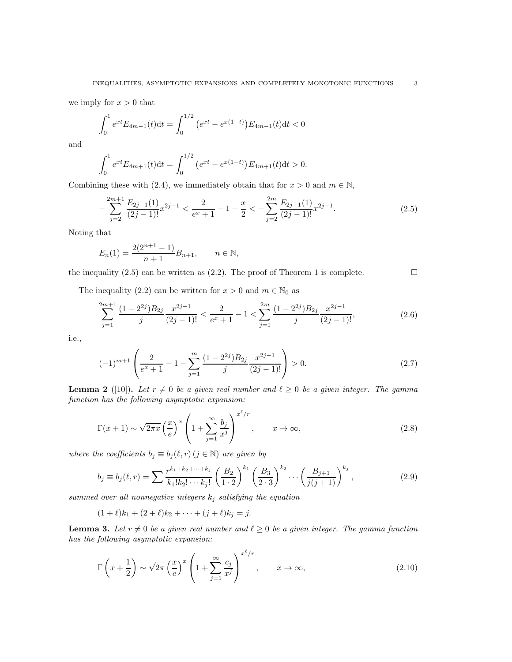we imply for  $x > 0$  that

$$
\int_0^1 e^{xt} E_{4m-1}(t) dt = \int_0^{1/2} \left( e^{xt} - e^{x(1-t)} \right) E_{4m-1}(t) dt < 0
$$

and

$$
\int_0^1 e^{xt} E_{4m+1}(t) dt = \int_0^{1/2} \left( e^{xt} - e^{x(1-t)} \right) E_{4m+1}(t) dt > 0.
$$

Combining these with (2.4), we immediately obtain that for  $x > 0$  and  $m \in \mathbb{N}$ ,

$$
-\sum_{j=2}^{2m+1} \frac{E_{2j-1}(1)}{(2j-1)!} x^{2j-1} < \frac{2}{e^x+1} - 1 + \frac{x}{2} < -\sum_{j=2}^{2m} \frac{E_{2j-1}(1)}{(2j-1)!} x^{2j-1}.\tag{2.5}
$$

Noting that

$$
E_n(1) = \frac{2(2^{n+1} - 1)}{n+1} B_{n+1}, \qquad n \in \mathbb{N},
$$

the inequality (2.5) can be written as (2.2). The proof of Theorem 1 is complete.  $\Box$ 

The inequality (2.2) can be written for  $x > 0$  and  $m \in \mathbb{N}_0$  as

$$
\sum_{j=1}^{2m+1} \frac{(1-2^{2j})B_{2j}}{j} \frac{x^{2j-1}}{(2j-1)!} < \frac{2}{e^x+1} - 1 < \sum_{j=1}^{2m} \frac{(1-2^{2j})B_{2j}}{j} \frac{x^{2j-1}}{(2j-1)!},\tag{2.6}
$$

i.e.,

$$
(-1)^{m+1} \left( \frac{2}{e^x + 1} - 1 - \sum_{j=1}^m \frac{(1 - 2^{2j}) B_{2j}}{j} \frac{x^{2j-1}}{(2j-1)!} \right) > 0. \tag{2.7}
$$

**Lemma 2** ([10]). Let  $r \neq 0$  be a given real number and  $\ell \geq 0$  be a given integer. The gamma function has the following asymptotic expansion:

$$
\Gamma(x+1) \sim \sqrt{2\pi x} \left(\frac{x}{e}\right)^x \left(1 + \sum_{j=1}^{\infty} \frac{b_j}{x^j}\right)^{x^{\ell}/r}, \qquad x \to \infty,
$$
\n(2.8)

where the coefficients  $b_j \equiv b_j(\ell, r)$   $(j \in \mathbb{N})$  are given by

$$
b_j \equiv b_j(\ell, r) = \sum \frac{r^{k_1 + k_2 + \dots + k_j}}{k_1! k_2! \cdots k_j!} \left(\frac{B_2}{1 \cdot 2}\right)^{k_1} \left(\frac{B_3}{2 \cdot 3}\right)^{k_2} \cdots \left(\frac{B_{j+1}}{j(j+1)}\right)^{k_j},\tag{2.9}
$$

summed over all nonnegative integers  $k_j$  satisfying the equation

 $(1 + \ell)k_1 + (2 + \ell)k_2 + \cdots + (j + \ell)k_j = j.$ 

**Lemma 3.** Let  $r \neq 0$  be a given real number and  $\ell \geq 0$  be a given integer. The gamma function has the following asymptotic expansion:

$$
\Gamma\left(x+\frac{1}{2}\right) \sim \sqrt{2\pi} \left(\frac{x}{e}\right)^x \left(1+\sum_{j=1}^{\infty} \frac{c_j}{x^j}\right)^{x^{\ell}/r}, \qquad x \to \infty,
$$
\n(2.10)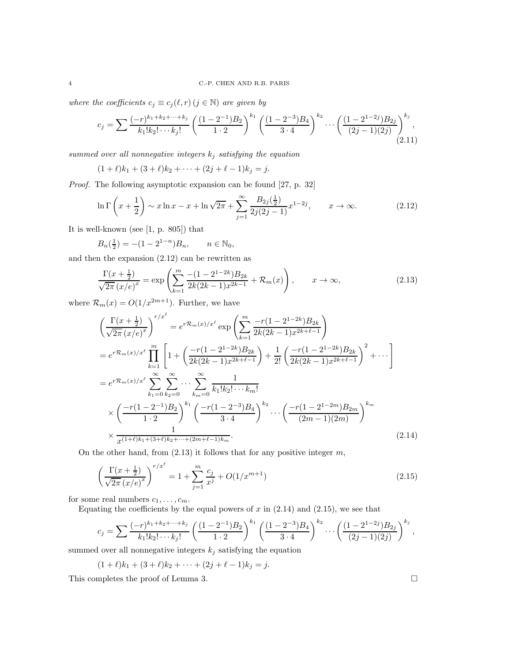where the coefficients  $c_j \equiv c_j(\ell, r)$   $(j \in \mathbb{N})$  are given by

$$
c_j = \sum \frac{(-r)^{k_1 + k_2 + \dots + k_j}}{k_1! k_2! \cdots k_j!} \left( \frac{(1 - 2^{-1})B_2}{1 \cdot 2} \right)^{k_1} \left( \frac{(1 - 2^{-3})B_4}{3 \cdot 4} \right)^{k_2} \cdots \left( \frac{(1 - 2^{1 - 2j})B_{2j}}{(2j - 1)(2j)} \right)^{k_j},
$$
\n(2.11)

summed over all nonnegative integers  $k_j$  satisfying the equation

$$
(1+\ell)k_1 + (3+\ell)k_2 + \cdots + (2j+\ell-1)k_j = j.
$$

Proof. The following asymptotic expansion can be found [27, p. 32]

$$
\ln \Gamma \left( x + \frac{1}{2} \right) \sim x \ln x - x + \ln \sqrt{2\pi} + \sum_{j=1}^{\infty} \frac{B_{2j}(\frac{1}{2})}{2j(2j-1)} x^{1-2j}, \qquad x \to \infty.
$$
 (2.12)

It is well-known (see [1, p. 805]) that

$$
B_n(\tfrac{1}{2}) = -(1 - 2^{1-n})B_n, \qquad n \in \mathbb{N}_0,
$$

and then the expansion (2.12) can be rewritten as

$$
\frac{\Gamma(x+\frac{1}{2})}{\sqrt{2\pi}(x/e)^x} = \exp\left(\sum_{k=1}^m \frac{-(1-2^{1-2k})B_{2k}}{2k(2k-1)x^{2k-1}} + \mathcal{R}_m(x)\right), \qquad x \to \infty,
$$
\n(2.13)

where  $\mathcal{R}_m(x) = O(1/x^{2m+1})$ . Further, we have

$$
\left(\frac{\Gamma(x+\frac{1}{2})}{\sqrt{2\pi}(x/e)^x}\right)^{r/x^{\ell}} = e^{r\mathcal{R}_m(x)/x^{\ell}} \exp\left(\sum_{k=1}^m \frac{-r(1-2^{1-2k})B_{2k}}{2k(2k-1)x^{2k+\ell-1}}\right)
$$
\n
$$
= e^{r\mathcal{R}_m(x)/x^{\ell}} \prod_{k=1}^m \left[1 + \left(\frac{-r(1-2^{1-2k})B_{2k}}{2k(2k-1)x^{2k+\ell-1}}\right) + \frac{1}{2!} \left(\frac{-r(1-2^{1-2k})B_{2k}}{2k(2k-1)x^{2k+\ell-1}}\right)^2 + \cdots\right]
$$
\n
$$
= e^{r\mathcal{R}_m(x)/x^{\ell}} \sum_{k_1=0}^\infty \sum_{k_2=0}^\infty \cdots \sum_{k_m=0}^\infty \frac{1}{k_1!k_2! \cdots k_m!}
$$
\n
$$
\times \left(\frac{-r(1-2^{-1})B_2}{1 \cdot 2}\right)^{k_1} \left(\frac{-r(1-2^{-3})B_4}{3 \cdot 4}\right)^{k_2} \cdots \left(\frac{-r(1-2^{1-2m})B_{2m}}{(2m-1)(2m)}\right)^{k_m}
$$
\n
$$
\times \frac{1}{x^{(1+\ell)k_1+(3+\ell)k_2+\cdots+(2m+\ell-1)k_m}}.
$$
\n(2.14)

On the other hand, from  $(2.13)$  it follows that for any positive integer  $m$ ,

$$
\left(\frac{\Gamma(x+\frac{1}{2})}{\sqrt{2\pi}(x/e)^x}\right)^{r/x^{\ell}} = 1 + \sum_{j=1}^m \frac{c_j}{x^j} + O(1/x^{m+1})
$$
\n(2.15)

for some real numbers  $c_1, \ldots, c_m$ .

Equating the coefficients by the equal powers of  $x$  in  $(2.14)$  and  $(2.15)$ , we see that

$$
c_j = \sum \frac{(-r)^{k_1 + k_2 + \dots + k_j}}{k_1! k_2! \dots k_j!} \left( \frac{(1 - 2^{-1})B_2}{1 \cdot 2} \right)^{k_1} \left( \frac{(1 - 2^{-3})B_4}{3 \cdot 4} \right)^{k_2} \dots \left( \frac{(1 - 2^{1 - 2j})B_{2j}}{(2j - 1)(2j)} \right)^{k_j},
$$

summed over all nonnegative integers  $k_j$  satisfying the equation

$$
(1 + \ell)k_1 + (3 + \ell)k_2 + \cdots + (2j + \ell - 1)k_j = j.
$$

This completes the proof of Lemma 3.  $\hfill \square$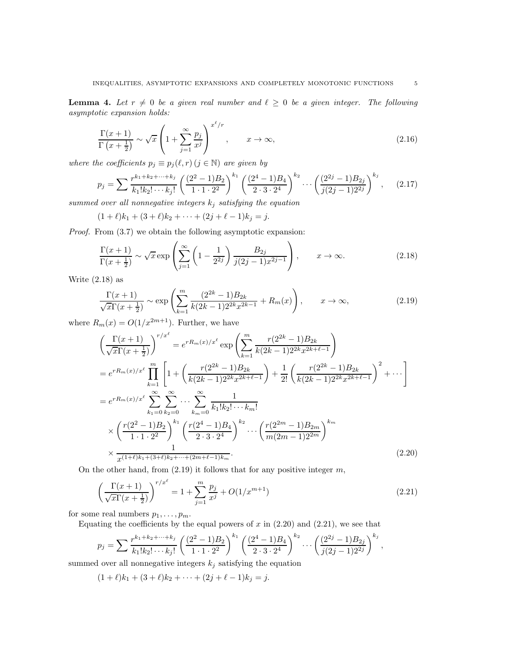**Lemma 4.** Let  $r \neq 0$  be a given real number and  $\ell \geq 0$  be a given integer. The following asymptotic expansion holds:

$$
\frac{\Gamma(x+1)}{\Gamma(x+\frac{1}{2})} \sim \sqrt{x} \left( 1 + \sum_{j=1}^{\infty} \frac{p_j}{x^j} \right)^{x^{\ell}/r}, \qquad x \to \infty,
$$
\n(2.16)

where the coefficients  $p_j \equiv p_j(\ell, r)$   $(j \in \mathbb{N})$  are given by

$$
p_j = \sum \frac{r^{k_1 + k_2 + \dots + k_j}}{k_1! k_2! \dots k_j!} \left( \frac{(2^2 - 1)B_2}{1 \cdot 1 \cdot 2^2} \right)^{k_1} \left( \frac{(2^4 - 1)B_4}{2 \cdot 3 \cdot 2^4} \right)^{k_2} \dots \left( \frac{(2^{2j} - 1)B_{2j}}{j(2j - 1)2^{2j}} \right)^{k_j}, \quad (2.17)
$$

summed over all nonnegative integers  $k_i$  satisfying the equation

$$
(1+\ell)k_1 + (3+\ell)k_2 + \cdots + (2j+\ell-1)k_j = j.
$$

Proof. From (3.7) we obtain the following asymptotic expansion:

$$
\frac{\Gamma(x+1)}{\Gamma(x+\frac{1}{2})} \sim \sqrt{x} \exp\left(\sum_{j=1}^{\infty} \left(1 - \frac{1}{2^{2j}}\right) \frac{B_{2j}}{j(2j-1)x^{2j-1}}\right), \qquad x \to \infty.
$$
\n(2.18)

Write (2.18) as

$$
\frac{\Gamma(x+1)}{\sqrt{x}\Gamma(x+\frac{1}{2})} \sim \exp\left(\sum_{k=1}^{m} \frac{(2^{2k}-1)B_{2k}}{k(2k-1)2^{2k}x^{2k-1}} + R_m(x)\right), \qquad x \to \infty,
$$
\n(2.19)

where  $R_m(x) = O(1/x^{2m+1})$ . Further, we have

$$
\left(\frac{\Gamma(x+1)}{\sqrt{x}\Gamma(x+\frac{1}{2})}\right)^{r/x^{\ell}} = e^{rR_m(x)/x^{\ell}} \exp\left(\sum_{k=1}^{m} \frac{r(2^{2k}-1)B_{2k}}{k(2k-1)2^{2k}x^{2k+\ell-1}}\right)
$$
\n
$$
= e^{rR_m(x)/x^{\ell}} \prod_{k=1}^{m} \left[1 + \left(\frac{r(2^{2k}-1)B_{2k}}{k(2k-1)2^{2k}x^{2k+\ell-1}}\right) + \frac{1}{2!} \left(\frac{r(2^{2k}-1)B_{2k}}{k(2k-1)2^{2k}x^{2k+\ell-1}}\right)^2 + \cdots\right]
$$
\n
$$
= e^{rR_m(x)/x^{\ell}} \sum_{k=0}^{\infty} \sum_{k=0}^{\infty} \cdots \sum_{k=m=0}^{\infty} \frac{1}{k_1!k_2! \cdots k_m!}
$$
\n
$$
\times \left(\frac{r(2^2-1)B_2}{1 \cdot 1 \cdot 2^2}\right)^{k_1} \left(\frac{r(2^4-1)B_4}{2 \cdot 3 \cdot 2^4}\right)^{k_2} \cdots \left(\frac{r(2^{2m}-1)B_{2m}}{m(2m-1)2^{2m}}\right)^{k_m}
$$
\n
$$
\times \frac{1}{x^{(1+\ell)k_1+(3+\ell)k_2+\cdots+(2m+\ell-1)k_m}}.
$$
\n(2.20)

On the other hand, from  $(2.19)$  it follows that for any positive integer  $m$ ,

$$
\left(\frac{\Gamma(x+1)}{\sqrt{x}\Gamma(x+\frac{1}{2})}\right)^{r/x^{\ell}} = 1 + \sum_{j=1}^{m} \frac{p_j}{x^j} + O(1/x^{m+1})
$$
\n(2.21)

for some real numbers  $p_1, \ldots, p_m$ .

Equating the coefficients by the equal powers of  $x$  in  $(2.20)$  and  $(2.21)$ , we see that

$$
p_j = \sum \frac{r^{k_1+k_2+\cdots+k_j}}{k_1!k_2!\cdots k_j!} \left(\frac{(2^2-1)B_2}{1\cdot 1\cdot 2^2}\right)^{k_1} \left(\frac{(2^4-1)B_4}{2\cdot 3\cdot 2^4}\right)^{k_2} \cdots \left(\frac{(2^{2j}-1)B_{2j}}{j(2j-1)2^{2j}}\right)^{k_j},
$$

summed over all nonnegative integers  $k_j$  satisfying the equation

$$
(1 + \ell)k_1 + (3 + \ell)k_2 + \cdots + (2j + \ell - 1)k_j = j.
$$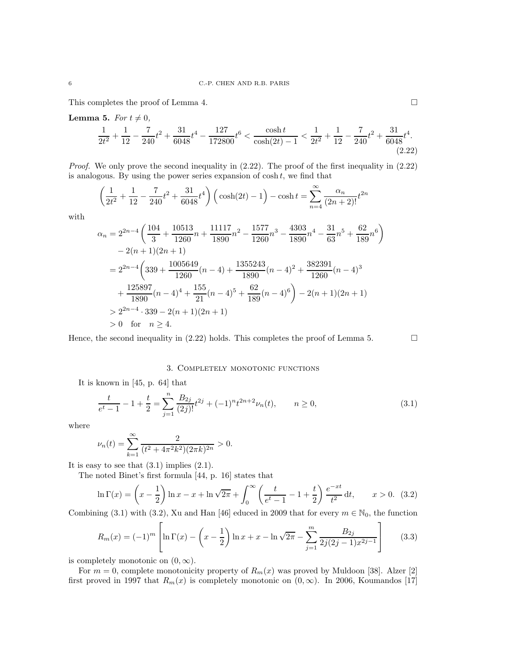This completes the proof of Lemma 4.

**Lemma 5.** For 
$$
t \neq 0
$$
,  
\n
$$
\frac{1}{2t^2} + \frac{1}{12} - \frac{7}{240}t^2 + \frac{31}{6048}t^4 - \frac{127}{172800}t^6 < \frac{\cosh t}{\cosh(2t) - 1} < \frac{1}{2t^2} + \frac{1}{12} - \frac{7}{240}t^2 + \frac{31}{6048}t^4.
$$
\n(2.22)

*Proof.* We only prove the second inequality in  $(2.22)$ . The proof of the first inequality in  $(2.22)$ is analogous. By using the power series expansion of  $\cosh t$ , we find that

$$
\left(\frac{1}{2t^2} + \frac{1}{12} - \frac{7}{240}t^2 + \frac{31}{6048}t^4\right) \left(\cosh(2t) - 1\right) - \cosh t = \sum_{n=4}^{\infty} \frac{\alpha_n}{(2n+2)!} t^{2n}
$$

with

$$
\alpha_n = 2^{2n-4} \left( \frac{104}{3} + \frac{10513}{1260} n + \frac{11117}{1890} n^2 - \frac{1577}{1260} n^3 - \frac{4303}{1890} n^4 - \frac{31}{63} n^5 + \frac{62}{189} n^6 \right)
$$
  
\n
$$
- 2(n+1)(2n+1)
$$
  
\n
$$
= 2^{2n-4} \left( 339 + \frac{1005649}{1260} (n-4) + \frac{1355243}{1890} (n-4)^2 + \frac{382391}{1260} (n-4)^3 + \frac{125897}{1890} (n-4)^4 + \frac{155}{21} (n-4)^5 + \frac{62}{189} (n-4)^6 \right) - 2(n+1)(2n+1)
$$
  
\n
$$
> 2^{2n-4} \cdot 339 - 2(n+1)(2n+1)
$$
  
\n
$$
> 0 \quad \text{for} \quad n \ge 4.
$$

Hence, the second inequality in  $(2.22)$  holds. This completes the proof of Lemma 5.

# 3. Completely monotonic functions

It is known in [45, p. 64] that

$$
\frac{t}{e^t - 1} - 1 + \frac{t}{2} = \sum_{j=1}^n \frac{B_{2j}}{(2j)!} t^{2j} + (-1)^n t^{2n+2} \nu_n(t), \qquad n \ge 0,
$$
\n(3.1)

where

$$
\nu_n(t) = \sum_{k=1}^{\infty} \frac{2}{(t^2 + 4\pi^2 k^2)(2\pi k)^{2n}} > 0.
$$

It is easy to see that  $(3.1)$  implies  $(2.1)$ .

The noted Binet's first formula [44, p. 16] states that

$$
\ln \Gamma(x) = \left(x - \frac{1}{2}\right) \ln x - x + \ln \sqrt{2\pi} + \int_0^\infty \left(\frac{t}{e^t - 1} - 1 + \frac{t}{2}\right) \frac{e^{-xt}}{t^2} dt, \qquad x > 0. \tag{3.2}
$$

Combining (3.1) with (3.2), Xu and Han [46] educed in 2009 that for every  $m \in \mathbb{N}_0$ , the function

$$
R_m(x) = (-1)^m \left[ \ln \Gamma(x) - \left( x - \frac{1}{2} \right) \ln x + x - \ln \sqrt{2\pi} - \sum_{j=1}^m \frac{B_{2j}}{2j(2j-1)x^{2j-1}} \right] \tag{3.3}
$$

is completely monotonic on  $(0, \infty)$ .

For  $m = 0$ , complete monotonicity property of  $R_m(x)$  was proved by Muldoon [38]. Alzer [2] first proved in 1997 that  $R_m(x)$  is completely monotonic on  $(0, \infty)$ . In 2006, Koumandos [17]

 $\overline{1}$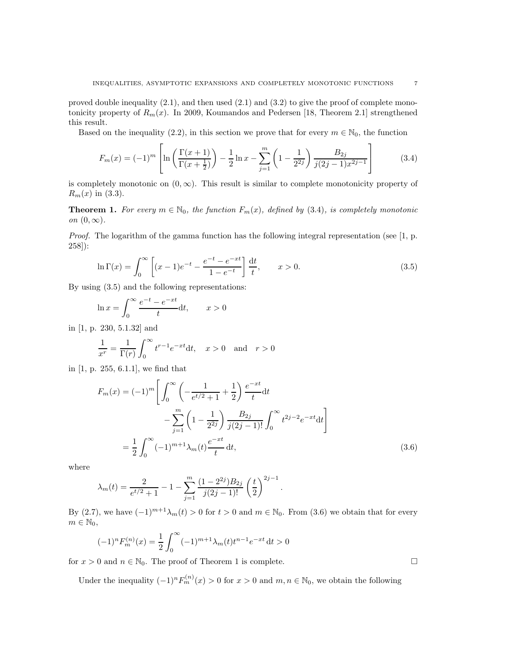proved double inequality  $(2.1)$ , and then used  $(2.1)$  and  $(3.2)$  to give the proof of complete monotonicity property of  $R_m(x)$ . In 2009, Koumandos and Pedersen [18, Theorem 2.1] strengthened this result.

Based on the inequality (2.2), in this section we prove that for every  $m \in \mathbb{N}_0$ , the function

$$
F_m(x) = (-1)^m \left[ \ln \left( \frac{\Gamma(x+1)}{\Gamma(x+\frac{1}{2})} \right) - \frac{1}{2} \ln x - \sum_{j=1}^m \left( 1 - \frac{1}{2^{2j}} \right) \frac{B_{2j}}{j(2j-1)x^{2j-1}} \right]
$$
(3.4)

is completely monotonic on  $(0, \infty)$ . This result is similar to complete monotonicity property of  $R_m(x)$  in (3.3).

**Theorem 1.** For every  $m \in \mathbb{N}_0$ , the function  $F_m(x)$ , defined by (3.4), is completely monotonic on  $(0, \infty)$ .

*Proof.* The logarithm of the gamma function has the following integral representation (see  $[1, p$ .) 258]):

$$
\ln \Gamma(x) = \int_0^\infty \left[ (x-1)e^{-t} - \frac{e^{-t} - e^{-xt}}{1 - e^{-t}} \right] \frac{dt}{t}, \qquad x > 0.
$$
 (3.5)

By using (3.5) and the following representations:

$$
\ln x = \int_0^\infty \frac{e^{-t} - e^{-xt}}{t} dt, \qquad x > 0
$$

in [1, p. 230, 5.1.32] and

$$
\frac{1}{x^r} = \frac{1}{\Gamma(r)} \int_0^\infty t^{r-1} e^{-xt} dt, \quad x > 0 \quad \text{and} \quad r > 0
$$

in [1, p. 255, 6.1.1], we find that

$$
F_m(x) = (-1)^m \left[ \int_0^\infty \left( -\frac{1}{e^{t/2} + 1} + \frac{1}{2} \right) \frac{e^{-xt}}{t} dt - \sum_{j=1}^m \left( 1 - \frac{1}{2^{2j}} \right) \frac{B_{2j}}{j(2j-1)!} \int_0^\infty t^{2j-2} e^{-xt} dt \right]
$$

$$
= \frac{1}{2} \int_0^\infty (-1)^{m+1} \lambda_m(t) \frac{e^{-xt}}{t} dt,
$$
(3.6)

.

where

$$
\lambda_m(t) = \frac{2}{e^{t/2} + 1} - 1 - \sum_{j=1}^m \frac{(1 - 2^{2j})B_{2j}}{j(2j - 1)!} \left(\frac{t}{2}\right)^{2j - 1}
$$

By (2.7), we have  $(-1)^{m+1}\lambda_m(t) > 0$  for  $t > 0$  and  $m \in \mathbb{N}_0$ . From (3.6) we obtain that for every  $m \in \mathbb{N}_0$ ,

$$
(-1)^n F_m^{(n)}(x) = \frac{1}{2} \int_0^\infty (-1)^{m+1} \lambda_m(t) t^{n-1} e^{-xt} dt > 0
$$

for  $x > 0$  and  $n \in \mathbb{N}_0$ . The proof of Theorem 1 is complete.

Under the inequality  $(-1)^n F_m^{(n)}(x) > 0$  for  $x > 0$  and  $m, n \in \mathbb{N}_0$ , we obtain the following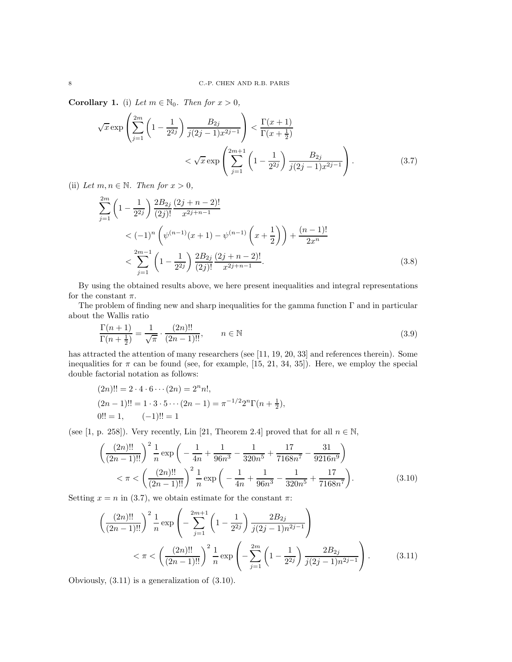Corollary 1. (i) Let  $m \in \mathbb{N}_0$ . Then for  $x > 0$ ,

$$
\sqrt{x} \exp\left(\sum_{j=1}^{2m} \left(1 - \frac{1}{2^{2j}}\right) \frac{B_{2j}}{j(2j-1)x^{2j-1}}\right) < \frac{\Gamma(x+1)}{\Gamma(x+\frac{1}{2})} \\
&< \sqrt{x} \exp\left(\sum_{j=1}^{2m+1} \left(1 - \frac{1}{2^{2j}}\right) \frac{B_{2j}}{j(2j-1)x^{2j-1}}\right). \tag{3.7}
$$

(ii) Let  $m, n \in \mathbb{N}$ . Then for  $x > 0$ ,

$$
\sum_{j=1}^{2m} \left( 1 - \frac{1}{2^{2j}} \right) \frac{2B_{2j}}{(2j)!} \frac{(2j+n-2)!}{x^{2j+n-1}}
$$
  
<  $(-1)^n \left( \psi^{(n-1)}(x+1) - \psi^{(n-1)}\left(x+\frac{1}{2}\right) \right) + \frac{(n-1)!}{2x^n}$   
<  $\sum_{j=1}^{2m-1} \left( 1 - \frac{1}{2^{2j}} \right) \frac{2B_{2j}}{(2j)!} \frac{(2j+n-2)!}{x^{2j+n-1}}.$  (3.8)

By using the obtained results above, we here present inequalities and integral representations for the constant  $\pi$ .

The problem of finding new and sharp inequalities for the gamma function  $\Gamma$  and in particular about the Wallis ratio

$$
\frac{\Gamma(n+1)}{\Gamma(n+\frac{1}{2})} = \frac{1}{\sqrt{\pi}} \cdot \frac{(2n)!!}{(2n-1)!!}, \qquad n \in \mathbb{N}
$$
\n(3.9)

has attracted the attention of many researchers (see [11, 19, 20, 33] and references therein). Some inequalities for  $\pi$  can be found (see, for example, [15, 21, 34, 35]). Here, we employ the special double factorial notation as follows:

$$
(2n)!! = 2 \cdot 4 \cdot 6 \cdots (2n) = 2nn!,
$$
  
\n
$$
(2n-1)!! = 1 \cdot 3 \cdot 5 \cdots (2n-1) = \pi^{-1/2} 2n \Gamma(n + \frac{1}{2}),
$$
  
\n
$$
0!! = 1, \qquad (-1)!! = 1
$$

(see [1, p. 258]). Very recently, Lin [21, Theorem 2.4] proved that for all  $n \in \mathbb{N}$ ,

$$
\left(\frac{(2n)!!}{(2n-1)!!}\right)^2 \frac{1}{n} \exp\left(-\frac{1}{4n} + \frac{1}{96n^3} - \frac{1}{320n^5} + \frac{17}{7168n^7} - \frac{31}{9216n^9}\right) \n< \pi < \left(\frac{(2n)!!}{(2n-1)!!}\right)^2 \frac{1}{n} \exp\left(-\frac{1}{4n} + \frac{1}{96n^3} - \frac{1}{320n^5} + \frac{17}{7168n^7}\right).
$$
\n(3.10)

Setting  $x = n$  in (3.7), we obtain estimate for the constant  $\pi$ :

$$
\left(\frac{(2n)!!}{(2n-1)!!}\right)^2 \frac{1}{n} \exp\left(-\sum_{j=1}^{2m+1} \left(1 - \frac{1}{2^{2j}}\right) \frac{2B_{2j}}{j(2j-1)n^{2j-1}}\right)
$$
  

$$
< \pi < \left(\frac{(2n)!!}{(2n-1)!!}\right)^2 \frac{1}{n} \exp\left(-\sum_{j=1}^{2m} \left(1 - \frac{1}{2^{2j}}\right) \frac{2B_{2j}}{j(2j-1)n^{2j-1}}\right).
$$
(3.11)

Obviously, (3.11) is a generalization of (3.10).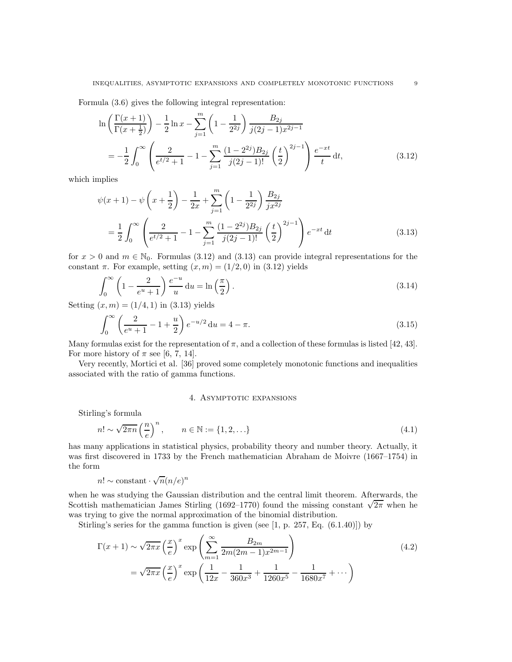Formula (3.6) gives the following integral representation:

$$
\ln\left(\frac{\Gamma(x+1)}{\Gamma(x+\frac{1}{2})}\right) - \frac{1}{2}\ln x - \sum_{j=1}^{m} \left(1 - \frac{1}{2^{2j}}\right) \frac{B_{2j}}{j(2j-1)x^{2j-1}}
$$

$$
= -\frac{1}{2} \int_0^\infty \left(\frac{2}{e^{t/2} + 1} - 1 - \sum_{j=1}^m \frac{(1 - 2^{2j})B_{2j}}{j(2j-1)!} \left(\frac{t}{2}\right)^{2j-1}\right) \frac{e^{-xt}}{t} dt,
$$
(3.12)

which implies

$$
\psi(x+1) - \psi\left(x + \frac{1}{2}\right) - \frac{1}{2x} + \sum_{j=1}^{m} \left(1 - \frac{1}{2^{2j}}\right) \frac{B_{2j}}{j x^{2j}}
$$

$$
= \frac{1}{2} \int_0^\infty \left(\frac{2}{e^{t/2} + 1} - 1 - \sum_{j=1}^{m} \frac{(1 - 2^{2j}) B_{2j}}{j(2j - 1)!} \left(\frac{t}{2}\right)^{2j - 1}\right) e^{-xt} dt \tag{3.13}
$$

for  $x > 0$  and  $m \in \mathbb{N}_0$ . Formulas (3.12) and (3.13) can provide integral representations for the constant  $\pi$ . For example, setting  $(x, m) = (1/2, 0)$  in  $(3.12)$  yields

$$
\int_0^\infty \left(1 - \frac{2}{e^u + 1}\right) \frac{e^{-u}}{u} \, \mathrm{d}u = \ln\left(\frac{\pi}{2}\right). \tag{3.14}
$$

Setting  $(x, m) = (1/4, 1)$  in  $(3.13)$  yields

$$
\int_0^\infty \left(\frac{2}{e^u + 1} - 1 + \frac{u}{2}\right) e^{-u/2} \, \mathrm{d}u = 4 - \pi. \tag{3.15}
$$

Many formulas exist for the representation of  $\pi$ , and a collection of these formulas is listed [42, 43]. For more history of  $\pi$  see [6, 7, 14].

Very recently, Mortici et al. [36] proved some completely monotonic functions and inequalities associated with the ratio of gamma functions.

## 4. Asymptotic expansions

Stirling's formula

$$
n! \sim \sqrt{2\pi n} \left(\frac{n}{e}\right)^n, \qquad n \in \mathbb{N} := \{1, 2, \ldots\}
$$
\n
$$
(4.1)
$$

has many applications in statistical physics, probability theory and number theory. Actually, it was first discovered in 1733 by the French mathematician Abraham de Moivre (1667–1754) in the form

$$
n! \sim \text{constant} \cdot \sqrt{n} (n/e)^n
$$

when he was studying the Gaussian distribution and the central limit theorem. Afterwards, the Scottish mathematician James Stirling (1692–1770) found the missing constant  $\sqrt{2\pi}$  when he was trying to give the normal approximation of the binomial distribution.

Stirling's series for the gamma function is given (see  $[1, p. 257, Eq. (6.1.40)]$ ) by

$$
\Gamma(x+1) \sim \sqrt{2\pi x} \left(\frac{x}{e}\right)^x \exp\left(\sum_{m=1}^{\infty} \frac{B_{2m}}{2m(2m-1)x^{2m-1}}\right)
$$
\n
$$
= \sqrt{2\pi x} \left(\frac{x}{e}\right)^x \exp\left(\frac{1}{12x} - \frac{1}{360x^3} + \frac{1}{1260x^5} - \frac{1}{1680x^7} + \cdots\right)
$$
\n(4.2)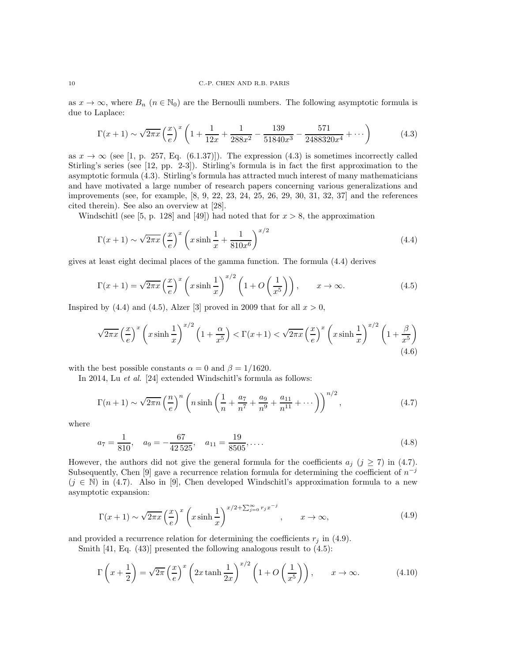as  $x \to \infty$ , where  $B_n$   $(n \in \mathbb{N}_0)$  are the Bernoulli numbers. The following asymptotic formula is due to Laplace:

$$
\Gamma(x+1) \sim \sqrt{2\pi x} \left(\frac{x}{e}\right)^x \left(1 + \frac{1}{12x} + \frac{1}{288x^2} - \frac{139}{51840x^3} - \frac{571}{2488320x^4} + \cdots\right) \tag{4.3}
$$

as  $x \to \infty$  (see [1, p. 257, Eq. (6.1.37)]). The expression (4.3) is sometimes incorrectly called Stirling's series (see [12, pp. 2-3]). Stirling's formula is in fact the first approximation to the asymptotic formula (4.3). Stirling's formula has attracted much interest of many mathematicians and have motivated a large number of research papers concerning various generalizations and improvements (see, for example, [8, 9, 22, 23, 24, 25, 26, 29, 30, 31, 32, 37] and the references cited therein). See also an overview at [28].

Windschitl (see [5, p. 128] and [49]) had noted that for  $x > 8$ , the approximation

$$
\Gamma(x+1) \sim \sqrt{2\pi x} \left(\frac{x}{e}\right)^x \left(x \sinh\frac{1}{x} + \frac{1}{810x^6}\right)^{x/2} \tag{4.4}
$$

gives at least eight decimal places of the gamma function. The formula (4.4) derives

$$
\Gamma(x+1) = \sqrt{2\pi x} \left(\frac{x}{e}\right)^x \left(x \sinh\frac{1}{x}\right)^{x/2} \left(1 + O\left(\frac{1}{x^5}\right)\right), \qquad x \to \infty.
$$
 (4.5)

Inspired by (4.4) and (4.5), Alzer [3] proved in 2009 that for all  $x > 0$ ,

$$
\sqrt{2\pi x} \left(\frac{x}{e}\right)^x \left(x \sinh\frac{1}{x}\right)^{x/2} \left(1 + \frac{\alpha}{x^5}\right) < \Gamma(x+1) < \sqrt{2\pi x} \left(\frac{x}{e}\right)^x \left(x \sinh\frac{1}{x}\right)^{x/2} \left(1 + \frac{\beta}{x^5}\right) \tag{4.6}
$$

with the best possible constants  $\alpha = 0$  and  $\beta = 1/1620$ .

In 2014, Lu et al. [24] extended Windschitl's formula as follows:

$$
\Gamma(n+1) \sim \sqrt{2\pi n} \left(\frac{n}{e}\right)^n \left(n \sinh\left(\frac{1}{n} + \frac{a_7}{n^7} + \frac{a_9}{n^9} + \frac{a_{11}}{n^{11}} + \dotsb\right)\right)^{n/2},\tag{4.7}
$$

where

$$
a_7 = \frac{1}{810}
$$
,  $a_9 = -\frac{67}{42525}$ ,  $a_{11} = \frac{19}{8505}$ ,.... (4.8)

However, the authors did not give the general formula for the coefficients  $a_j$  ( $j \ge 7$ ) in (4.7). Subsequently, Chen [9] gave a recurrence relation formula for determining the coefficient of  $n^{-j}$  $(j \in \mathbb{N})$  in (4.7). Also in [9], Chen developed Windschitl's approximation formula to a new asymptotic expansion:

$$
\Gamma(x+1) \sim \sqrt{2\pi x} \left(\frac{x}{e}\right)^x \left(x \sinh\frac{1}{x}\right)^{x/2 + \sum_{j=0}^{\infty} r_j x^{-j}}, \qquad x \to \infty,
$$
\n(4.9)

and provided a recurrence relation for determining the coefficients  $r_i$  in (4.9).

Smith [41, Eq. (43)] presented the following analogous result to (4.5):

$$
\Gamma\left(x+\frac{1}{2}\right) = \sqrt{2\pi} \left(\frac{x}{e}\right)^x \left(2x \tanh\frac{1}{2x}\right)^{x/2} \left(1 + O\left(\frac{1}{x^5}\right)\right), \qquad x \to \infty. \tag{4.10}
$$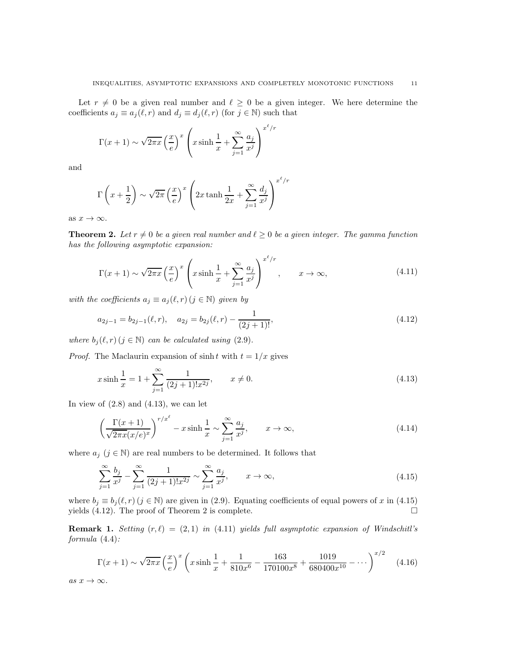Let  $r \neq 0$  be a given real number and  $\ell \geq 0$  be a given integer. We here determine the coefficients  $a_j \equiv a_j(\ell, r)$  and  $d_j \equiv d_j(\ell, r)$  (for  $j \in \mathbb{N}$ ) such that

$$
\Gamma(x+1) \sim \sqrt{2\pi x} \left(\frac{x}{e}\right)^x \left(x \sinh \frac{1}{x} + \sum_{j=1}^{\infty} \frac{a_j}{x^j}\right)^{x^{\ell}/r}
$$

and

$$
\Gamma\left(x+\frac{1}{2}\right) \sim \sqrt{2\pi} \left(\frac{x}{e}\right)^x \left(2x \tanh\frac{1}{2x} + \sum_{j=1}^{\infty} \frac{d_j}{x^j}\right)^{x^{\ell}/r}
$$

as  $x \to \infty$ .

**Theorem 2.** Let  $r \neq 0$  be a given real number and  $\ell \geq 0$  be a given integer. The gamma function has the following asymptotic expansion:

$$
\Gamma(x+1) \sim \sqrt{2\pi x} \left(\frac{x}{e}\right)^x \left(x \sinh\frac{1}{x} + \sum_{j=1}^{\infty} \frac{a_j}{x^j}\right)^{x^{\ell}/r}, \qquad x \to \infty,
$$
\n(4.11)

with the coefficients  $a_j \equiv a_j(\ell, r)$   $(j \in \mathbb{N})$  given by

$$
a_{2j-1} = b_{2j-1}(\ell, r), \quad a_{2j} = b_{2j}(\ell, r) - \frac{1}{(2j+1)!},
$$
\n(4.12)

where  $b_j(\ell, r)$   $(j \in \mathbb{N})$  can be calculated using (2.9).

*Proof.* The Maclaurin expansion of sinh t with  $t = 1/x$  gives

$$
x\sinh\frac{1}{x} = 1 + \sum_{j=1}^{\infty} \frac{1}{(2j+1)!x^{2j}}, \qquad x \neq 0.
$$
 (4.13)

In view of  $(2.8)$  and  $(4.13)$ , we can let

$$
\left(\frac{\Gamma(x+1)}{\sqrt{2\pi x}(x/e)^x}\right)^{r/x^{\ell}} - x\sinh\frac{1}{x} \sim \sum_{j=1}^{\infty} \frac{a_j}{x^j}, \qquad x \to \infty,
$$
\n(4.14)

where  $a_j$  ( $j \in \mathbb{N}$ ) are real numbers to be determined. It follows that

$$
\sum_{j=1}^{\infty} \frac{b_j}{x^j} - \sum_{j=1}^{\infty} \frac{1}{(2j+1)!x^{2j}} \sim \sum_{j=1}^{\infty} \frac{a_j}{x^j}, \qquad x \to \infty,
$$
\n(4.15)

where  $b_j \equiv b_j(\ell, r)$  ( $j \in \mathbb{N}$ ) are given in (2.9). Equating coefficients of equal powers of x in (4.15) yields (4.12). The proof of Theorem 2 is complete. yields (4.12). The proof of Theorem 2 is complete.

**Remark 1.** Setting  $(r, \ell) = (2, 1)$  in (4.11) yields full asymptotic expansion of Windschitl's formula (4.4):

$$
\Gamma(x+1) \sim \sqrt{2\pi x} \left(\frac{x}{e}\right)^x \left(x \sinh\frac{1}{x} + \frac{1}{810x^6} - \frac{163}{170100x^8} + \frac{1019}{680400x^{10}} - \dots\right)^{x/2}
$$
 (4.16)

as  $x \to \infty$ .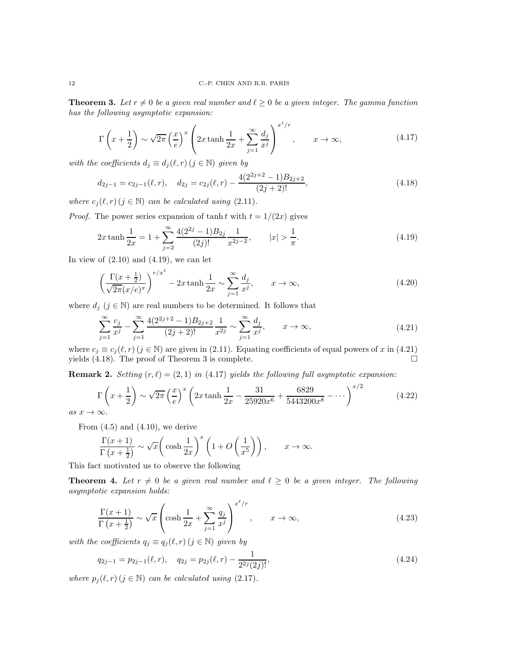**Theorem 3.** Let  $r \neq 0$  be a given real number and  $\ell \geq 0$  be a given integer. The gamma function has the following asymptotic expansion:

$$
\Gamma\left(x+\frac{1}{2}\right) \sim \sqrt{2\pi} \left(\frac{x}{e}\right)^x \left(2x \tanh\frac{1}{2x} + \sum_{j=1}^{\infty} \frac{d_j}{x^j}\right)^{x^{\ell}/r}, \qquad x \to \infty,
$$
\n(4.17)

with the coefficients  $d_j \equiv d_j(\ell, r)$   $(j \in \mathbb{N})$  given by

$$
d_{2j-1} = c_{2j-1}(\ell, r), \quad d_{2j} = c_{2j}(\ell, r) - \frac{4(2^{2j+2} - 1)B_{2j+2}}{(2j+2)!},
$$
\n(4.18)

where  $c_j(\ell, r)$   $(j \in \mathbb{N})$  can be calculated using (2.11).

*Proof.* The power series expansion of tanh t with  $t = 1/(2x)$  gives

$$
2x \tanh \frac{1}{2x} = 1 + \sum_{j=2}^{\infty} \frac{4(2^{2j} - 1)B_{2j}}{(2j)!} \frac{1}{x^{2j-2}}, \qquad |x| > \frac{1}{\pi}.
$$
 (4.19)

In view of  $(2.10)$  and  $(4.19)$ , we can let

$$
\left(\frac{\Gamma(x+\frac{1}{2})}{\sqrt{2\pi}(x/e)^x}\right)^{r/x^{\ell}} - 2x \tanh\frac{1}{2x} \sim \sum_{j=1}^{\infty} \frac{d_j}{x^j}, \qquad x \to \infty,
$$
\n(4.20)

where  $d_j$  ( $j \in \mathbb{N}$ ) are real numbers to be determined. It follows that

$$
\sum_{j=1}^{\infty} \frac{c_j}{x^j} - \sum_{j=1}^{\infty} \frac{4(2^{2j+2} - 1)B_{2j+2}}{(2j+2)!} \frac{1}{x^{2j}} \sim \sum_{j=1}^{\infty} \frac{d_j}{x^j}, \qquad x \to \infty,
$$
\n(4.21)

where  $c_j \equiv c_j(\ell, r)$  ( $j \in \mathbb{N}$ ) are given in (2.11). Equating coefficients of equal powers of x in (4.21) yields (4.18). The proof of Theorem 3 is complete. yields (4.18). The proof of Theorem 3 is complete.

**Remark 2.** Setting  $(r, \ell) = (2, 1)$  in (4.17) yields the following full asymptotic expansion:

$$
\Gamma\left(x+\frac{1}{2}\right) \sim \sqrt{2\pi} \left(\frac{x}{e}\right)^x \left(2x \tanh\frac{1}{2x} - \frac{31}{25920x^6} + \frac{6829}{5443200x^8} - \dots\right)^{x/2}
$$
(4.22)

From  $(4.5)$  and  $(4.10)$ , we derive

$$
\frac{\Gamma(x+1)}{\Gamma(x+\frac{1}{2})} \sim \sqrt{x} \left( \cosh \frac{1}{2x} \right)^x \left( 1 + O\left(\frac{1}{x^5}\right) \right), \qquad x \to \infty.
$$

This fact motivated us to observe the following

**Theorem 4.** Let  $r \neq 0$  be a given real number and  $\ell \geq 0$  be a given integer. The following asymptotic expansion holds:  $\mathfrak{o}$ .

$$
\frac{\Gamma(x+1)}{\Gamma(x+\frac{1}{2})} \sim \sqrt{x} \left( \cosh \frac{1}{2x} + \sum_{j=1}^{\infty} \frac{q_j}{x^j} \right)^{x^t/r}, \qquad x \to \infty,
$$
\n(4.23)

with the coefficients  $q_j \equiv q_j(\ell, r)$   $(j \in \mathbb{N})$  given by

$$
q_{2j-1} = p_{2j-1}(\ell, r), \quad q_{2j} = p_{2j}(\ell, r) - \frac{1}{2^{2j}(2j)!}, \tag{4.24}
$$

where  $p_j(\ell, r)$   $(j \in \mathbb{N})$  can be calculated using (2.17).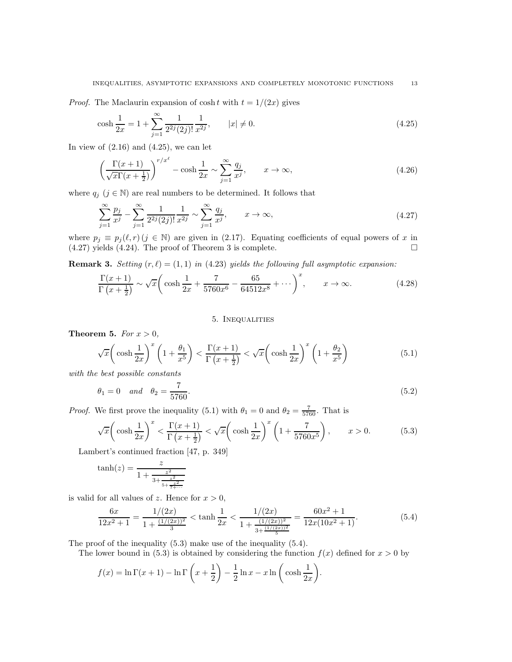*Proof.* The Maclaurin expansion of cosh t with  $t = 1/(2x)$  gives

$$
\cosh \frac{1}{2x} = 1 + \sum_{j=1}^{\infty} \frac{1}{2^{2j}(2j)!} \frac{1}{x^{2j}}, \qquad |x| \neq 0.
$$
\n(4.25)

In view of  $(2.16)$  and  $(4.25)$ , we can let

$$
\left(\frac{\Gamma(x+1)}{\sqrt{x}\Gamma(x+\frac{1}{2})}\right)^{r/x^{\ell}} - \cosh\frac{1}{2x} \sim \sum_{j=1}^{\infty} \frac{q_j}{x^j}, \qquad x \to \infty,
$$
\n(4.26)

where  $q_j$  ( $j \in \mathbb{N}$ ) are real numbers to be determined. It follows that

$$
\sum_{j=1}^{\infty} \frac{p_j}{x^j} - \sum_{j=1}^{\infty} \frac{1}{2^{2j}(2j)!} \frac{1}{x^{2j}} \sim \sum_{j=1}^{\infty} \frac{q_j}{x^j}, \qquad x \to \infty,
$$
\n(4.27)

where  $p_j \equiv p_j(\ell, r)$  ( $j \in \mathbb{N}$ ) are given in (2.17). Equating coefficients of equal powers of x in (4.27) vields (4.24). The proof of Theorem 3 is complete. (4.27) yields (4.24). The proof of Theorem 3 is complete.

**Remark 3.** Setting  $(r, \ell) = (1, 1)$  in (4.23) yields the following full asymptotic expansion:

$$
\frac{\Gamma(x+1)}{\Gamma(x+\frac{1}{2})} \sim \sqrt{x} \bigg( \cosh \frac{1}{2x} + \frac{7}{5760x^6} - \frac{65}{64512x^8} + \cdots \bigg)^x, \qquad x \to \infty. \tag{4.28}
$$

### 5. Inequalities

Theorem 5. For  $x > 0$ ,

$$
\sqrt{x}\left(\cosh\frac{1}{2x}\right)^x \left(1+\frac{\theta_1}{x^5}\right) < \frac{\Gamma(x+1)}{\Gamma(x+\frac{1}{2})} < \sqrt{x}\left(\cosh\frac{1}{2x}\right)^x \left(1+\frac{\theta_2}{x^5}\right) \tag{5.1}
$$

with the best possible constants

$$
\theta_1 = 0 \quad and \quad \theta_2 = \frac{7}{5760}.\tag{5.2}
$$

*Proof.* We first prove the inequality (5.1) with  $\theta_1 = 0$  and  $\theta_2 = \frac{7}{5760}$ . That is

$$
\sqrt{x}\left(\cosh\frac{1}{2x}\right)^x < \frac{\Gamma(x+1)}{\Gamma\left(x+\frac{1}{2}\right)} < \sqrt{x}\left(\cosh\frac{1}{2x}\right)^x \left(1 + \frac{7}{5760x^5}\right), \qquad x > 0. \tag{5.3}
$$

Lambert's continued fraction [47, p. 349]

$$
\tanh(z) = \frac{z}{1 + \frac{z^2}{3 + \frac{z^2}{5 + \frac{z^2}{7 + \dotsb}}}}
$$

is valid for all values of z. Hence for  $x > 0$ ,

$$
\frac{6x}{12x^2+1} = \frac{1/(2x)}{1+\frac{(1/(2x))^2}{3}} < \tanh\frac{1}{2x} < \frac{1/(2x)}{1+\frac{(1/(2x))^2}{3+\frac{(1/(2x))^2}{5}}} = \frac{60x^2+1}{12x(10x^2+1)}.
$$
(5.4)

The proof of the inequality (5.3) make use of the inequality (5.4).

The lower bound in (5.3) is obtained by considering the function  $f(x)$  defined for  $x > 0$  by

$$
f(x) = \ln \Gamma(x+1) - \ln \Gamma\left(x + \frac{1}{2}\right) - \frac{1}{2}\ln x - x \ln\left(\cosh\frac{1}{2x}\right).
$$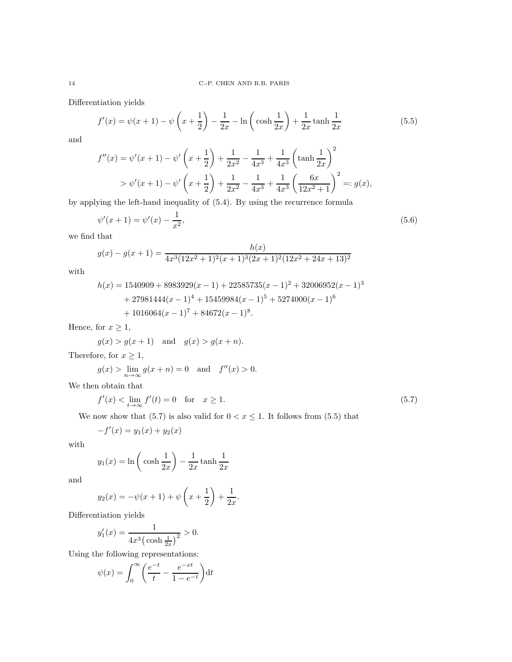Differentiation yields

$$
f'(x) = \psi(x+1) - \psi\left(x + \frac{1}{2}\right) - \frac{1}{2x} - \ln\left(\cosh\frac{1}{2x}\right) + \frac{1}{2x}\tanh\frac{1}{2x}
$$
(5.5)

and

$$
f''(x) = \psi'(x+1) - \psi'\left(x+\frac{1}{2}\right) + \frac{1}{2x^2} - \frac{1}{4x^3} + \frac{1}{4x^3} \left(\tanh\frac{1}{2x}\right)^2
$$
  
>  $\psi'(x+1) - \psi'\left(x+\frac{1}{2}\right) + \frac{1}{2x^2} - \frac{1}{4x^3} + \frac{1}{4x^3} \left(\frac{6x}{12x^2+1}\right)^2 =: g(x),$ 

by applying the left-hand inequality of (5.4). By using the recurrence formula

$$
\psi'(x+1) = \psi'(x) - \frac{1}{x^2},\tag{5.6}
$$

we find that

$$
g(x) - g(x+1) = \frac{h(x)}{4x^3(12x^2+1)^2(x+1)^3(2x+1)^2(12x^2+24x+13)^2}
$$

with

$$
h(x) = 1540909 + 8983929(x - 1) + 22585735(x - 1)^{2} + 32006952(x - 1)^{3}
$$
  
+ 27981444(x - 1)^{4} + 15459984(x - 1)^{5} + 5274000(x - 1)^{6}  
+ 1016064(x - 1)^{7} + 84672(x - 1)^{8}.

Hence, for  $x \geq 1$ ,

$$
g(x) > g(x+1)
$$
 and  $g(x) > g(x+n)$ .

Therefore, for  $x \geq 1$ ,

$$
g(x) > \lim_{n \to \infty} g(x+n) = 0
$$
 and  $f''(x) > 0$ .

We then obtain that

$$
f'(x) < \lim_{t \to \infty} f'(t) = 0 \quad \text{for} \quad x \ge 1. \tag{5.7}
$$

We now show that (5.7) is also valid for  $0 < x \leq 1$ . It follows from (5.5) that

$$
-f'(x) = y_1(x) + y_2(x)
$$

with

$$
y_1(x) = \ln\left(\cosh\frac{1}{2x}\right) - \frac{1}{2x}\tanh\frac{1}{2x}
$$

and

$$
y_2(x) = -\psi(x+1) + \psi\left(x + \frac{1}{2}\right) + \frac{1}{2x}.
$$

Differentiation yields

$$
y_1'(x) = \frac{1}{4x^3(\cosh\frac{1}{2x})^2} > 0.
$$

Using the following representations:

$$
\psi(x) = \int_0^\infty \left(\frac{e^{-t}}{t} - \frac{e^{-xt}}{1 - e^{-t}}\right) dt
$$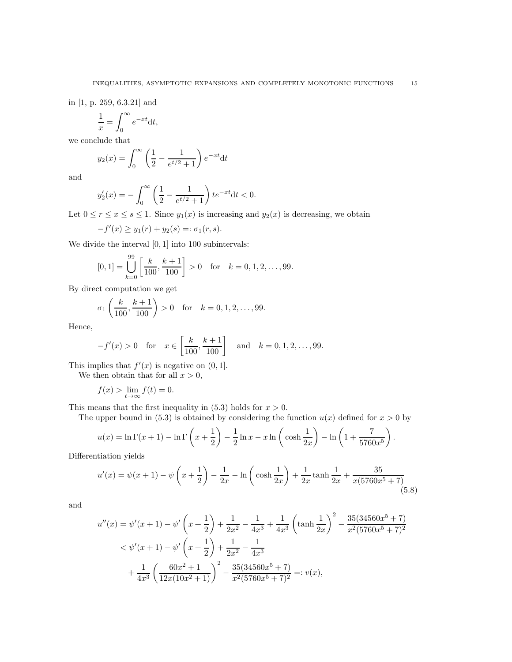in [1, p. 259, 6.3.21] and

$$
\frac{1}{x} = \int_0^\infty e^{-xt} \mathrm{d}t,
$$

we conclude that

$$
y_2(x) = \int_0^{\infty} \left(\frac{1}{2} - \frac{1}{e^{t/2} + 1}\right) e^{-xt} dt
$$

and

$$
y_2'(x) = -\int_0^\infty \left(\frac{1}{2} - \frac{1}{e^{t/2} + 1}\right) t e^{-xt} dt < 0.
$$

Let  $0 \le r \le x \le s \le 1$ . Since  $y_1(x)$  is increasing and  $y_2(x)$  is decreasing, we obtain

$$
-f'(x) \ge y_1(r) + y_2(s) =: \sigma_1(r, s).
$$

We divide the interval  $[0, 1]$  into 100 subintervals:

$$
[0,1] = \bigcup_{k=0}^{99} \left[ \frac{k}{100}, \frac{k+1}{100} \right] > 0 \quad \text{for} \quad k = 0, 1, 2, \dots, 99.
$$

By direct computation we get

$$
\sigma_1\left(\frac{k}{100}, \frac{k+1}{100}\right) > 0
$$
 for  $k = 0, 1, 2, ..., 99$ .

Hence,

$$
-f'(x) > 0
$$
 for  $x \in \left[\frac{k}{100}, \frac{k+1}{100}\right]$  and  $k = 0, 1, 2, ..., 99$ .

This implies that  $f'(x)$  is negative on  $(0, 1]$ .

We then obtain that for all  $x > 0$ ,

$$
f(x) > \lim_{t \to \infty} f(t) = 0.
$$

This means that the first inequality in  $(5.3)$  holds for  $x > 0$ .

The upper bound in (5.3) is obtained by considering the function  $u(x)$  defined for  $x > 0$  by

$$
u(x) = \ln \Gamma(x+1) - \ln \Gamma\left(x + \frac{1}{2}\right) - \frac{1}{2}\ln x - x\ln\left(\cosh\frac{1}{2x}\right) - \ln\left(1 + \frac{7}{5760x^5}\right).
$$

Differentiation yields

$$
u'(x) = \psi(x+1) - \psi\left(x+\frac{1}{2}\right) - \frac{1}{2x} - \ln\left(\cosh\frac{1}{2x}\right) + \frac{1}{2x}\tanh\frac{1}{2x} + \frac{35}{x(5760x^5+7)}\tag{5.8}
$$

and

$$
u''(x) = \psi'(x+1) - \psi'\left(x+\frac{1}{2}\right) + \frac{1}{2x^2} - \frac{1}{4x^3} + \frac{1}{4x^3} \left(\tanh\frac{1}{2x}\right)^2 - \frac{35(34560x^5+7)}{x^2(5760x^5+7)^2}
$$
  

$$
< \psi'(x+1) - \psi'\left(x+\frac{1}{2}\right) + \frac{1}{2x^2} - \frac{1}{4x^3}
$$
  

$$
+ \frac{1}{4x^3} \left(\frac{60x^2+1}{12x(10x^2+1)}\right)^2 - \frac{35(34560x^5+7)}{x^2(5760x^5+7)^2} =: v(x),
$$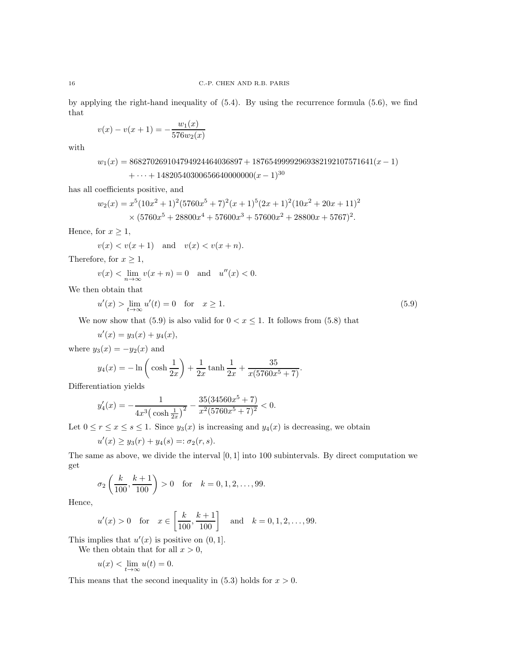by applying the right-hand inequality of (5.4). By using the recurrence formula (5.6), we find that

$$
v(x) - v(x+1) = -\frac{w_1(x)}{576w_2(x)}
$$

with

$$
w_1(x) = 868270269104794924464036897 + 18765499992969382192107571641(x - 1) + \cdots + 14820540300656640000000(x - 1)^{30}
$$

has all coefficients positive, and

$$
w_2(x) = x^5(10x^2 + 1)^2(5760x^5 + 7)^2(x + 1)^5(2x + 1)^2(10x^2 + 20x + 11)^2
$$
  
× (5760x<sup>5</sup> + 28800x<sup>4</sup> + 57600x<sup>3</sup> + 57600x<sup>2</sup> + 28800x + 5767)<sup>2</sup>.

Hence, for  $x \geq 1$ ,

$$
v(x) < v(x+1) \quad \text{and} \quad v(x) < v(x+n).
$$

Therefore, for  $x \geq 1$ ,

$$
v(x) < \lim_{n \to \infty} v(x+n) = 0 \text{ and } u''(x) < 0.
$$

We then obtain that

$$
u'(x) > \lim_{t \to \infty} u'(t) = 0
$$
 for  $x \ge 1$ . (5.9)

We now show that (5.9) is also valid for  $0 < x \leq 1$ . It follows from (5.8) that

$$
u'(x) = y_3(x) + y_4(x),
$$

where 
$$
y_3(x) = -y_2(x)
$$
 and

$$
y_4(x) = -\ln\left(\cosh\frac{1}{2x}\right) + \frac{1}{2x}\tanh\frac{1}{2x} + \frac{35}{x(5760x^5 + 7)}.
$$

Differentiation yields

$$
y_4'(x) = -\frac{1}{4x^3\left(\cosh\frac{1}{2x}\right)^2} - \frac{35(34560x^5 + 7)}{x^2(5760x^5 + 7)^2} < 0.
$$

Let  $0 \le r \le x \le s \le 1$ . Since  $y_3(x)$  is increasing and  $y_4(x)$  is decreasing, we obtain

$$
u'(x) \ge y_3(r) + y_4(s) =: \sigma_2(r, s).
$$

The same as above, we divide the interval  $[0, 1]$  into 100 subintervals. By direct computation we get

$$
\sigma_2\left(\frac{k}{100}, \frac{k+1}{100}\right) > 0
$$
 for  $k = 0, 1, 2, ..., 99$ .

Hence,

$$
u'(x) > 0
$$
 for  $x \in \left[\frac{k}{100}, \frac{k+1}{100}\right]$  and  $k = 0, 1, 2, ..., 99$ .

This implies that  $u'(x)$  is positive on  $(0, 1]$ .

We then obtain that for all  $x > 0$ ,

$$
u(x) < \lim_{t \to \infty} u(t) = 0.
$$

This means that the second inequality in  $(5.3)$  holds for  $x > 0$ .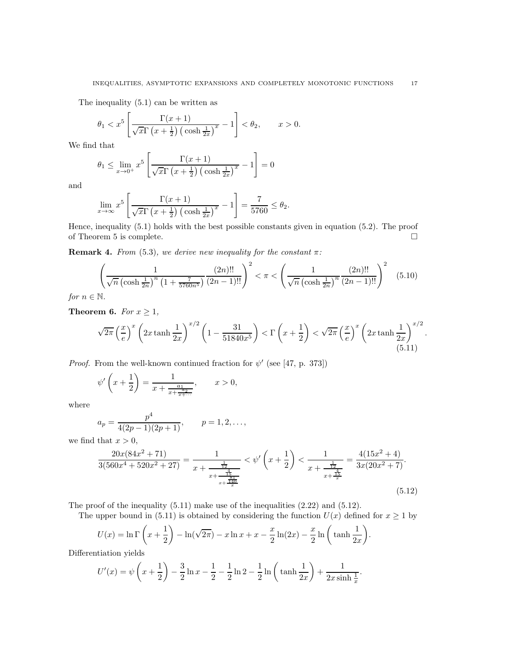The inequality (5.1) can be written as

$$
\theta_1 < x^5 \left[ \frac{\Gamma(x+1)}{\sqrt{x}\Gamma\left(x+\frac{1}{2}\right) \left(\cosh\frac{1}{2x}\right)^x} - 1 \right] < \theta_2, \qquad x > 0.
$$

We find that

$$
\theta_1 \le \lim_{x \to 0^+} x^5 \left[ \frac{\Gamma(x+1)}{\sqrt{x}\Gamma\left(x+\frac{1}{2}\right) \left(\cosh \frac{1}{2x}\right)^x} - 1 \right] = 0
$$

and

$$
\lim_{x \to \infty} x^5 \left[ \frac{\Gamma(x+1)}{\sqrt{x}\Gamma(x+\frac{1}{2}) \left( \cosh \frac{1}{2x} \right)^x} - 1 \right] = \frac{7}{5760} \le \theta_2.
$$

Hence, inequality (5.1) holds with the best possible constants given in equation (5.2). The proof of Theorem 5 is complete.  $\Box$ 

**Remark 4.** From (5.3), we derive new inequality for the constant  $\pi$ :

$$
\left(\frac{1}{\sqrt{n} \left(\cosh \frac{1}{2n}\right)^n \left(1 + \frac{7}{5760n^5}\right)} \frac{(2n)!!}{(2n-1)!!}\right)^2 < \pi < \left(\frac{1}{\sqrt{n} \left(\cosh \frac{1}{2n}\right)^n \left(2n-1\right)!!}\right)^2 \tag{5.10}
$$

for  $n \in \mathbb{N}$ .

Theorem 6. For  $x \geq 1$ ,

$$
\sqrt{2\pi} \left(\frac{x}{e}\right)^x \left(2x \tanh\frac{1}{2x}\right)^{x/2} \left(1 - \frac{31}{51840x^5}\right) < \Gamma\left(x + \frac{1}{2}\right) < \sqrt{2\pi} \left(\frac{x}{e}\right)^x \left(2x \tanh\frac{1}{2x}\right)^{x/2}.\tag{5.11}
$$

*Proof.* From the well-known continued fraction for  $\psi'$  (see [47, p. 373])

$$
\psi'\left(x+\frac{1}{2}\right) = \frac{1}{x+\frac{a_1}{x+\frac{a_2}{x+\dots}}}, \qquad x > 0,
$$

where

$$
a_p = \frac{p^4}{4(2p-1)(2p+1)}, \qquad p = 1, 2, \dots,
$$

we find that  $x > 0$ ,

$$
\frac{20x(84x^2+71)}{3(560x^4+520x^2+27)} = \frac{1}{x+\frac{\frac{1}{12}}{x+\frac{\frac{4}{12}}{x+\frac{\frac{4}{12}}{x+\frac{\frac{4}{12}}{x}}}} < \psi'\left(x+\frac{1}{2}\right) < \frac{1}{x+\frac{\frac{1}{12}}{x+\frac{\frac{4}{12}}{x}}} = \frac{4(15x^2+4)}{3x(20x^2+7)}.
$$
\n(5.12)

The proof of the inequality (5.11) make use of the inequalities (2.22) and (5.12).

The upper bound in (5.11) is obtained by considering the function  $U(x)$  defined for  $x \ge 1$  by

$$
U(x) = \ln \Gamma\left(x + \frac{1}{2}\right) - \ln(\sqrt{2\pi}) - x \ln x + x - \frac{x}{2}\ln(2x) - \frac{x}{2}\ln\left(\tanh\frac{1}{2x}\right).
$$

Differentiation yields

$$
U'(x) = \psi\left(x + \frac{1}{2}\right) - \frac{3}{2}\ln x - \frac{1}{2} - \frac{1}{2}\ln 2 - \frac{1}{2}\ln\left(\tanh\frac{1}{2x}\right) + \frac{1}{2x\sinh\frac{1}{x}}.
$$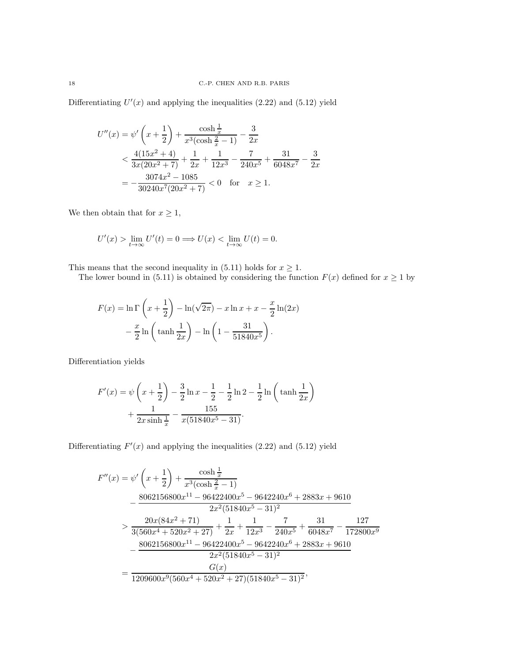Differentiating  $U'(x)$  and applying the inequalities (2.22) and (5.12) yield

$$
U''(x) = \psi' \left( x + \frac{1}{2} \right) + \frac{\cosh \frac{1}{x}}{x^3 (\cosh \frac{2}{x} - 1)} - \frac{3}{2x}
$$
  

$$
< \frac{4(15x^2 + 4)}{3x(20x^2 + 7)} + \frac{1}{2x} + \frac{1}{12x^3} - \frac{7}{240x^5} + \frac{31}{6048x^7} - \frac{3}{2x}
$$
  

$$
= -\frac{3074x^2 - 1085}{30240x^7 (20x^2 + 7)} < 0 \text{ for } x \ge 1.
$$

We then obtain that for  $x \geq 1$ ,

$$
U'(x) > \lim_{t \to \infty} U'(t) = 0 \Longrightarrow U(x) < \lim_{t \to \infty} U(t) = 0.
$$

This means that the second inequality in (5.11) holds for  $x \ge 1$ .

The lower bound in (5.11) is obtained by considering the function  $F(x)$  defined for  $x \ge 1$  by

$$
F(x) = \ln \Gamma \left( x + \frac{1}{2} \right) - \ln(\sqrt{2\pi}) - x \ln x + x - \frac{x}{2} \ln(2x)
$$

$$
- \frac{x}{2} \ln \left( \tanh \frac{1}{2x} \right) - \ln \left( 1 - \frac{31}{51840x^5} \right).
$$

Differentiation yields

$$
F'(x) = \psi \left( x + \frac{1}{2} \right) - \frac{3}{2} \ln x - \frac{1}{2} - \frac{1}{2} \ln 2 - \frac{1}{2} \ln \left( \tanh \frac{1}{2x} \right) + \frac{1}{2x \sinh \frac{1}{x}} - \frac{155}{x(51840x^5 - 31)}.
$$

Differentiating  $F'(x)$  and applying the inequalities (2.22) and (5.12) yield

$$
F''(x) = \psi' \left(x + \frac{1}{2}\right) + \frac{\cosh \frac{1}{x}}{x^3(\cosh \frac{2}{x} - 1)}
$$
  
\n
$$
- \frac{8062156800x^{11} - 96422400x^5 - 9642240x^6 + 2883x + 9610}{2x^2(51840x^5 - 31)^2}
$$
  
\n
$$
> \frac{20x(84x^2 + 71)}{3(560x^4 + 520x^2 + 27)} + \frac{1}{2x} + \frac{1}{12x^3} - \frac{7}{240x^5} + \frac{31}{6048x^7} - \frac{127}{172800x^9}
$$
  
\n
$$
- \frac{8062156800x^{11} - 96422400x^5 - 9642240x^6 + 2883x + 9610}{2x^2(51840x^5 - 31)^2}
$$
  
\n
$$
= \frac{G(x)}{1209600x^9(560x^4 + 520x^2 + 27)(51840x^5 - 31)^2},
$$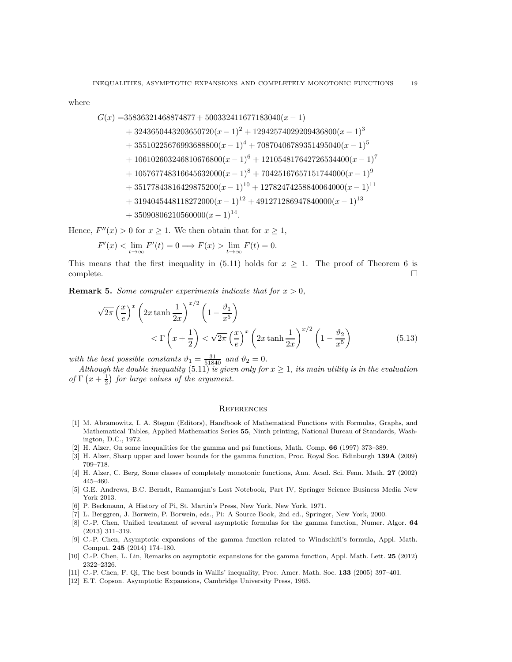where

$$
\begin{aligned} G(x)=&35836321468874877+500332411677183040(x-1)\\&+3243650443203650720(x-1)^2+12942574029209436800(x-1)^3\\&+35510225676993688800(x-1)^4+70870406789351495040(x-1)^5\\&+106102603246810676800(x-1)^6+121054817642726534400(x-1)^7\\&+105767748316645632000(x-1)^8+70425167657151744000(x-1)^9\\&+35177843816429875200(x-1)^{10}+12782474258840064000(x-1)^{11}\\&+3194045448118272000(x-1)^{12}+491271286947840000(x-1)^{13}\\&+35090806210560000(x-1)^{14}.\end{aligned}
$$

Hence,  $F''(x) > 0$  for  $x \ge 1$ . We then obtain that for  $x \ge 1$ ,

$$
F'(x) < \lim_{t \to \infty} F'(t) = 0 \Longrightarrow F(x) > \lim_{t \to \infty} F(t) = 0.
$$

This means that the first inequality in (5.11) holds for  $x \ge 1$ . The proof of Theorem 6 is complete.  $\Box$ complete.  $\Box$ 

**Remark 5.** Some computer experiments indicate that for  $x > 0$ ,

$$
\sqrt{2\pi} \left(\frac{x}{e}\right)^x \left(2x \tanh\frac{1}{2x}\right)^{x/2} \left(1 - \frac{\vartheta_1}{x^5}\right)
$$
  

$$
< \Gamma\left(x + \frac{1}{2}\right) < \sqrt{2\pi} \left(\frac{x}{e}\right)^x \left(2x \tanh\frac{1}{2x}\right)^{x/2} \left(1 - \frac{\vartheta_2}{x^5}\right)
$$
(5.13)

with the best possible constants  $\vartheta_1 = \frac{31}{51840}$  and  $\vartheta_2 = 0$ .

Although the double inequality (5.11) is given only for  $x \ge 1$ , its main utility is in the evaluation of  $\Gamma\left(x+\frac{1}{2}\right)$  for large values of the argument.

### **REFERENCES**

- [1] M. Abramowitz, I. A. Stegun (Editors), Handbook of Mathematical Functions with Formulas, Graphs, and Mathematical Tables, Applied Mathematics Series 55, Ninth printing, National Bureau of Standards, Washington, D.C., 1972.
- [2] H. Alzer, On some inequalities for the gamma and psi functions, Math. Comp. 66 (1997) 373–389.
- [3] H. Alzer, Sharp upper and lower bounds for the gamma function, Proc. Royal Soc. Edinburgh 139A (2009) 709–718.
- [4] H. Alzer, C. Berg, Some classes of completely monotonic functions, Ann. Acad. Sci. Fenn. Math. 27 (2002) 445–460.
- [5] G.E. Andrews, B.C. Berndt, Ramanujan's Lost Notebook, Part IV, Springer Science Business Media New York 2013.
- [6] P. Beckmann, A History of Pi, St. Martin's Press, New York, New York, 1971.
- [7] L. Berggren, J. Borwein, P. Borwein, eds., Pi: A Source Book, 2nd ed., Springer, New York, 2000.
- [8] C.-P. Chen, Unified treatment of several asymptotic formulas for the gamma function, Numer. Algor. 64 (2013) 311–319.
- [9] C.-P. Chen, Asymptotic expansions of the gamma function related to Windschitl's formula, Appl. Math. Comput. 245 (2014) 174–180.
- [10] C.-P. Chen, L. Lin, Remarks on asymptotic expansions for the gamma function, Appl. Math. Lett. 25 (2012) 2322–2326.
- [11] C.-P. Chen, F. Qi, The best bounds in Wallis' inequality, Proc. Amer. Math. Soc. 133 (2005) 397–401.
- [12] E.T. Copson. Asymptotic Expansions, Cambridge University Press, 1965.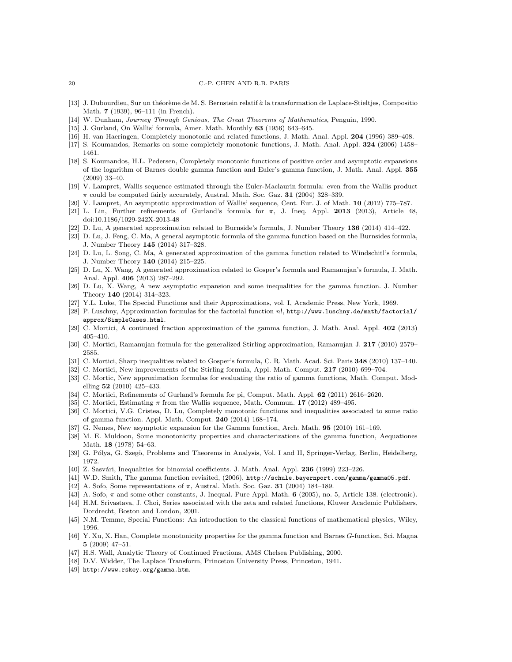#### 20 C.-P. CHEN AND R.B. PARIS

- [13] J. Dubourdieu, Sur un théorème de M. S. Bernstein relatif à la transformation de Laplace-Stieltjes, Compositio Math. 7 (1939), 96–111 (in French).
- [14] W. Dunham, Journey Through Genious, The Great Theorems of Mathematics, Penguin, 1990.
- [15] J. Gurland, On Wallis' formula, Amer. Math. Monthly 63 (1956) 643-645.
- [16] H. van Haeringen, Completely monotonic and related functions, J. Math. Anal. Appl. 204 (1996) 389–408.
- [17] S. Koumandos, Remarks on some completely monotonic functions, J. Math. Anal. Appl. 324 (2006) 1458– 1461.
- [18] S. Koumandos, H.L. Pedersen, Completely monotonic functions of positive order and asymptotic expansions of the logarithm of Barnes double gamma function and Euler's gamma function, J. Math. Anal. Appl. 355 (2009) 33–40.
- [19] V. Lampret, Wallis sequence estimated through the Euler-Maclaurin formula: even from the Wallis product  $\pi$  could be computed fairly accurately, Austral. Math. Soc. Gaz. **31** (2004) 328–339.
- [20] V. Lampret, An asymptotic approximation of Wallis' sequence, Cent. Eur. J. of Math. 10 (2012) 775–787.
- [21] L. Lin, Further refinements of Gurland's formula for  $\pi$ , J. Ineq. Appl. 2013 (2013), Article 48, doi:10.1186/1029-242X-2013-48
- [22] D. Lu, A generated approximation related to Burnside's formula, J. Number Theory 136 (2014) 414-422.
- [23] D. Lu, J. Feng, C. Ma, A general asymptotic formula of the gamma function based on the Burnsides formula, J. Number Theory 145 (2014) 317–328.
- [24] D. Lu, L. Song, C. Ma, A generated approximation of the gamma function related to Windschitl's formula, J. Number Theory 140 (2014) 215–225.
- [25] D. Lu, X. Wang, A generated approximation related to Gosper's formula and Ramanujan's formula, J. Math. Anal. Appl. 406 (2013) 287–292.
- [26] D. Lu, X. Wang, A new asymptotic expansion and some inequalities for the gamma function. J. Number Theory 140 (2014) 314–323.
- [27] Y.L. Luke, The Special Functions and their Approximations, vol. I, Academic Press, New York, 1969.
- [28] P. Luschny, Approximation formulas for the factorial function n!, http://www.luschny.de/math/factorial/ approx/SimpleCases.html.
- [29] C. Mortici, A continued fraction approximation of the gamma function, J. Math. Anal. Appl. 402 (2013) 405–410.
- [30] C. Mortici, Ramanujan formula for the generalized Stirling approximation, Ramanujan J. 217 (2010) 2579– 2585.
- [31] C. Mortici, Sharp inequalities related to Gosper's formula, C. R. Math. Acad. Sci. Paris 348 (2010) 137–140.
- [32] C. Mortici, New improvements of the Stirling formula, Appl. Math. Comput. 217 (2010) 699–704.
- [33] C. Mortic, New approximation formulas for evaluating the ratio of gamma functions, Math. Comput. Modelling 52 (2010) 425–433.
- [34] C. Mortici, Refinements of Gurland's formula for pi, Comput. Math. Appl. 62 (2011) 2616–2620.
- [35] C. Mortici, Estimating  $\pi$  from the Wallis sequence, Math. Commun. 17 (2012) 489–495.
- [36] C. Mortici, V.G. Cristea, D. Lu, Completely monotonic functions and inequalities associated to some ratio of gamma function. Appl. Math. Comput. 240 (2014) 168–174.
- [37] G. Nemes, New asymptotic expansion for the Gamma function, Arch. Math. 95 (2010) 161–169.
- [38] M. E. Muldoon, Some monotonicity properties and characterizations of the gamma function, Aequationes Math. 18 (1978) 54–63.
- [39] G. Pólya, G. Szegö, Problems and Theorems in Analysis, Vol. I and II, Springer-Verlag, Berlin, Heidelberg, 1972.
- [40] Z. Sasvári, Inequalities for binomial coefficients. J. Math. Anal. Appl. 236 (1999) 223–226.
- [41] W.D. Smith, The gamma function revisited, (2006), http://schule.bayernport.com/gamma/gamma05.pdf.
- [42] A. Sofo, Some representations of  $\pi$ , Austral. Math. Soc. Gaz. 31 (2004) 184–189.
- [43] A. Sofo,  $\pi$  and some other constants, J. Inequal. Pure Appl. Math. 6 (2005), no. 5, Article 138. (electronic).
- [44] H.M. Srivastava, J. Choi, Series associated with the zeta and related functions, Kluwer Academic Publishers, Dordrecht, Boston and London, 2001.
- [45] N.M. Temme, Special Functions: An introduction to the classical functions of mathematical physics, Wiley, 1996.
- [46] Y. Xu, X. Han, Complete monotonicity properties for the gamma function and Barnes G-function, Sci. Magna 5 (2009) 47–51.
- [47] H.S. Wall, Analytic Theory of Continued Fractions, AMS Chelsea Publishing, 2000.
- [48] D.V. Widder, The Laplace Transform, Princeton University Press, Princeton, 1941.
- [49] http://www.rskey.org/gamma.htm.